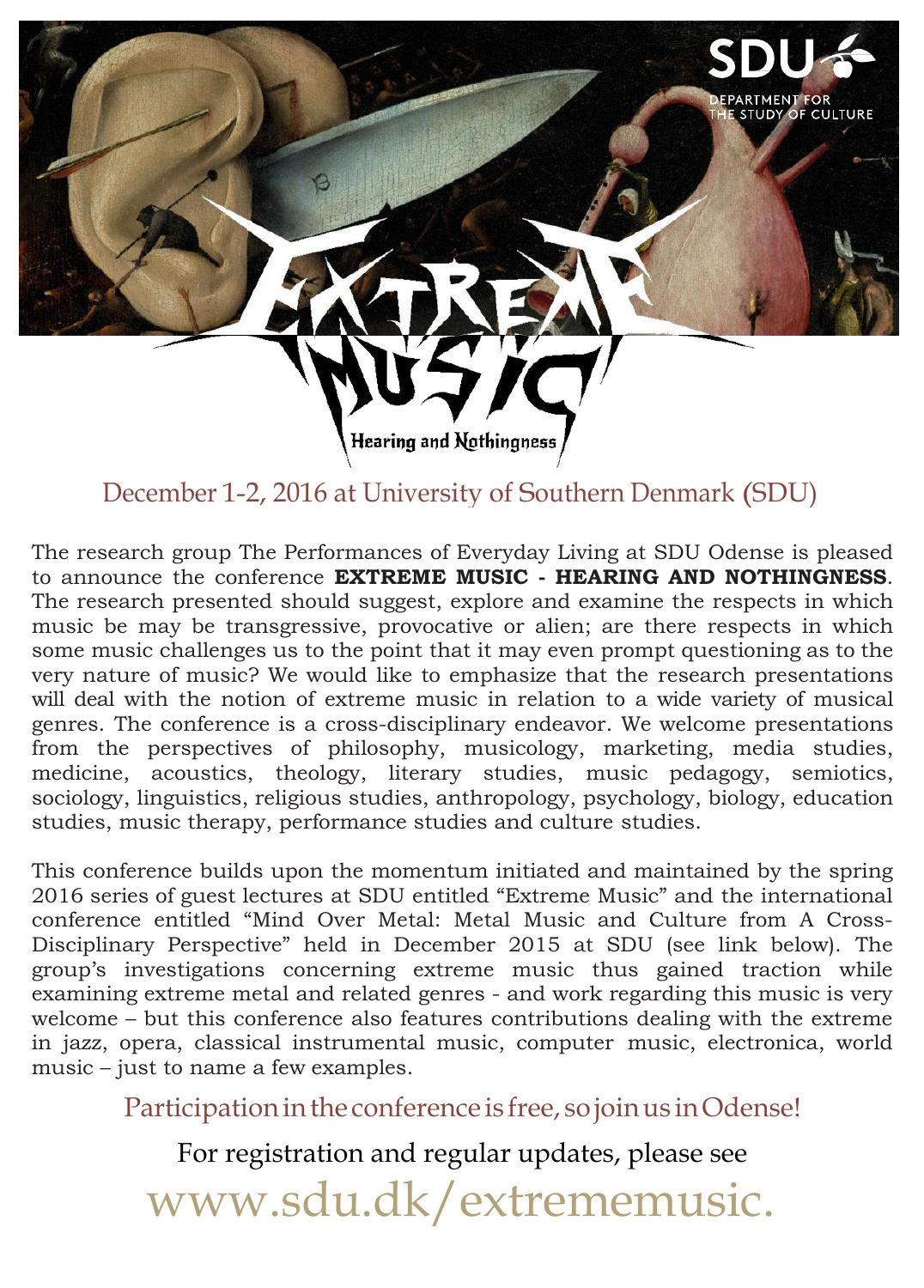The research group The Performances of Everyday Living at SDU Odense is pleased to announce the conference **EXTREME MUSIC - HEARING AND NOTHINGNESS**. The research presented should suggest, explore and examine the respects in which music be may be transgressive, provocative or alien; are there respects in which some music challenges us to the point that it may even prompt questioning as to the very nature of music? We would like to emphasize that the research presentations will deal with the notion of extreme music in relation to a wide variety of musical genres. The conference is a cross-disciplinary endeavor. We welcome presentations from the perspectives of philosophy, musicology, marketing, media studies, medicine, acoustics, theology, literary studies, music pedagogy, semiotics, sociology, linguistics, religious studies, anthropology, psychology, biology, education studies, music therapy, performance studies and culture studies.

> Participation in the conference is free, so join us in Odense! For registration and regular updates, please see [www.sdu.dk/extrememusic.](http://www.sdu.dk/extrememusic)

This conference builds upon the momentum initiated and maintained by the spring 2016 series of guest lectures at SDU entitled "Extreme Music" and the international conference entitled "Mind Over Metal: Metal Music and Culture from A Cross-Disciplinary Perspective" held in December 2015 at SDU (see link below). The group's investigations concerning extreme music thus gained traction while examining extreme metal and related genres - and work regarding this music is very welcome – but this conference also features contributions dealing with the extreme in jazz, opera, classical instrumental music, computer music, electronica, world music – just to name a few examples.



# December 1-2, 2016 at University of Southern Denmark (SDU)